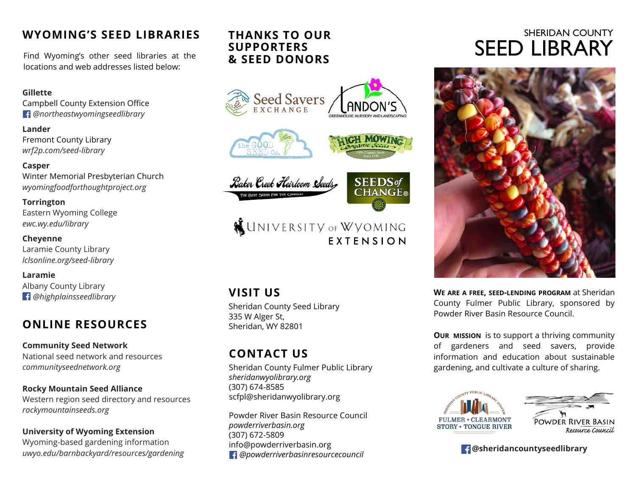### **WYOMING'S SEED LIBRARIES**

Find Wyoming's other seed libraries at the locations and web addresses listed below:

#### **Gillette**

Campbell County Extension Office  *@northeastwyomingseedlibrary*

**Lander** Fremont County Library *wrf2p.com/seed-library*

#### **Casper**

Winter Memorial Presbyterian Church *wyomingfoodforthoughtproject.org*

#### **Torrington**

Eastern Wyoming College *ewc.wy.edu/library*

#### **Cheyenne**

Laramie County Library *lclsonline.org/seed-library*

**Laramie** Albany County Library  *@highplainsseedlibrary*

# **ONLINE RESOURCES**

**Community Seed Network**  National seed network and resources *communityseednetwork.org*

**Rocky Mountain Seed Alliance** Western region seed directory and resources *rockymountainseeds.org*

### **University of Wyoming Extension**

Wyoming-based gardening information *uwyo.edu/barnbackyard/resources/gardening*

### **THANKS TO OUR SUPPORTERS & SEED DONORS**



# **WINIVERSITY OF WYOMING FXTENSION**

# **VISIT US**

Sheridan County Seed Library 335 W Alger St, Sheridan, WY 82801

# **CONTACT US**

Sheridan County Fulmer Public Library *sheridanwyolibrary.org* (307) 674-8585 scfpl@sheridanwyolibrary.org

Powder River Basin Resource Council *powderriverbasin.org* (307) 672-5809 info@powderriverbasin.org  *@powderriverbasinresourcecouncil*

# SHERIDAN COUNTY SEED LIBRARY



**WE ARE A FREE, SEED-LENDING PROGRAM** at Sheridan County Fulmer Public Library, sponsored by Powder River Basin Resource Council.

**OUR MISSION** is to support a thriving community of gardeners and seed savers, provide information and education about sustainable gardening, and cultivate a culture of sharing.



### **@sheridancountyseedlibrary**